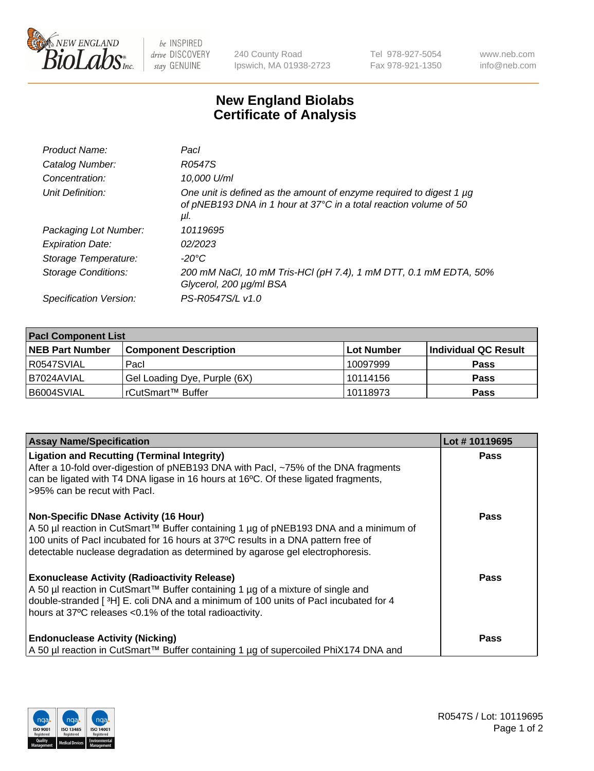

 $be$  INSPIRED drive DISCOVERY stay GENUINE

240 County Road Ipswich, MA 01938-2723 Tel 978-927-5054 Fax 978-921-1350 www.neb.com info@neb.com

## **New England Biolabs Certificate of Analysis**

| Product Name:           | Pacl                                                                                                                                            |
|-------------------------|-------------------------------------------------------------------------------------------------------------------------------------------------|
| Catalog Number:         | R0547S                                                                                                                                          |
| Concentration:          | 10,000 U/ml                                                                                                                                     |
| Unit Definition:        | One unit is defined as the amount of enzyme required to digest 1 µg<br>of pNEB193 DNA in 1 hour at 37°C in a total reaction volume of 50<br>μI. |
| Packaging Lot Number:   | 10119695                                                                                                                                        |
| <b>Expiration Date:</b> | 02/2023                                                                                                                                         |
| Storage Temperature:    | $-20^{\circ}$ C                                                                                                                                 |
| Storage Conditions:     | 200 mM NaCl, 10 mM Tris-HCl (pH 7.4), 1 mM DTT, 0.1 mM EDTA, 50%<br>Glycerol, 200 µg/ml BSA                                                     |
| Specification Version:  | PS-R0547S/L v1.0                                                                                                                                |

| <b>Pacl Component List</b> |                              |            |                      |  |  |
|----------------------------|------------------------------|------------|----------------------|--|--|
| <b>NEB Part Number</b>     | <b>Component Description</b> | Lot Number | Individual QC Result |  |  |
| R0547SVIAL                 | Pacl                         | 10097999   | <b>Pass</b>          |  |  |
| I B7024AVIAL               | Gel Loading Dye, Purple (6X) | 10114156   | <b>Pass</b>          |  |  |
| B6004SVIAL                 | l rCutSmart™ Buffer_         | 10118973   | <b>Pass</b>          |  |  |

| <b>Assay Name/Specification</b>                                                                                                                                                                                                                                                                            | Lot #10119695 |
|------------------------------------------------------------------------------------------------------------------------------------------------------------------------------------------------------------------------------------------------------------------------------------------------------------|---------------|
| <b>Ligation and Recutting (Terminal Integrity)</b><br>After a 10-fold over-digestion of pNEB193 DNA with Pacl, ~75% of the DNA fragments<br>can be ligated with T4 DNA ligase in 16 hours at 16°C. Of these ligated fragments,<br>>95% can be recut with Pacl.                                             | <b>Pass</b>   |
| <b>Non-Specific DNase Activity (16 Hour)</b><br>A 50 µl reaction in CutSmart™ Buffer containing 1 µg of pNEB193 DNA and a minimum of<br>100 units of PacI incubated for 16 hours at 37°C results in a DNA pattern free of<br>detectable nuclease degradation as determined by agarose gel electrophoresis. | Pass          |
| <b>Exonuclease Activity (Radioactivity Release)</b><br>A 50 µl reaction in CutSmart™ Buffer containing 1 µg of a mixture of single and<br>double-stranded [3H] E. coli DNA and a minimum of 100 units of Pacl incubated for 4<br>hours at 37°C releases <0.1% of the total radioactivity.                  | Pass          |
| <b>Endonuclease Activity (Nicking)</b><br>A 50 µl reaction in CutSmart™ Buffer containing 1 µg of supercoiled PhiX174 DNA and                                                                                                                                                                              | <b>Pass</b>   |